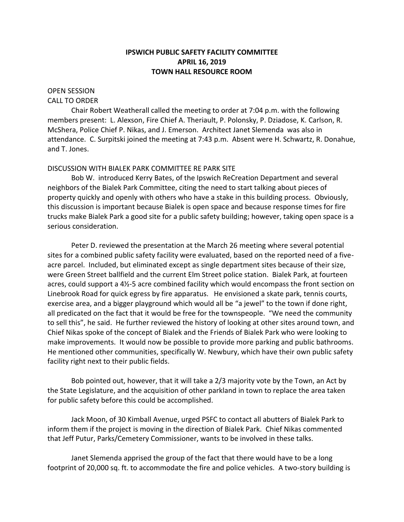# **IPSWICH PUBLIC SAFETY FACILITY COMMITTEE APRIL 16, 2019 TOWN HALL RESOURCE ROOM**

### OPEN SESSION CALL TO ORDER

Chair Robert Weatherall called the meeting to order at 7:04 p.m. with the following members present: L. Alexson, Fire Chief A. Theriault, P. Polonsky, P. Dziadose, K. Carlson, R. McShera, Police Chief P. Nikas, and J. Emerson. Architect Janet Slemenda was also in attendance. C. Surpitski joined the meeting at 7:43 p.m. Absent were H. Schwartz, R. Donahue, and T. Jones.

# DISCUSSION WITH BIALEK PARK COMMITTEE RE PARK SITE

Bob W. introduced Kerry Bates, of the Ipswich ReCreation Department and several neighbors of the Bialek Park Committee, citing the need to start talking about pieces of property quickly and openly with others who have a stake in this building process. Obviously, this discussion is important because Bialek is open space and because response times for fire trucks make Bialek Park a good site for a public safety building; however, taking open space is a serious consideration.

Peter D. reviewed the presentation at the March 26 meeting where several potential sites for a combined public safety facility were evaluated, based on the reported need of a fiveacre parcel. Included, but eliminated except as single department sites because of their size, were Green Street ballfield and the current Elm Street police station. Bialek Park, at fourteen acres, could support a 4½-5 acre combined facility which would encompass the front section on Linebrook Road for quick egress by fire apparatus. He envisioned a skate park, tennis courts, exercise area, and a bigger playground which would all be "a jewel" to the town if done right, all predicated on the fact that it would be free for the townspeople. "We need the community to sell this", he said. He further reviewed the history of looking at other sites around town, and Chief Nikas spoke of the concept of Bialek and the Friends of Bialek Park who were looking to make improvements. It would now be possible to provide more parking and public bathrooms. He mentioned other communities, specifically W. Newbury, which have their own public safety facility right next to their public fields.

Bob pointed out, however, that it will take a 2/3 majority vote by the Town, an Act by the State Legislature, and the acquisition of other parkland in town to replace the area taken for public safety before this could be accomplished.

Jack Moon, of 30 Kimball Avenue, urged PSFC to contact all abutters of Bialek Park to inform them if the project is moving in the direction of Bialek Park. Chief Nikas commented that Jeff Putur, Parks/Cemetery Commissioner, wants to be involved in these talks.

Janet Slemenda apprised the group of the fact that there would have to be a long footprint of 20,000 sq. ft. to accommodate the fire and police vehicles. A two-story building is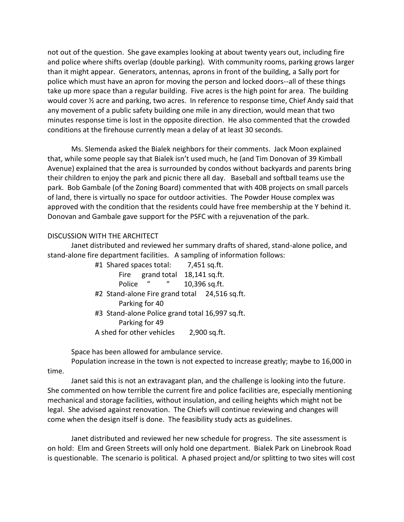not out of the question. She gave examples looking at about twenty years out, including fire and police where shifts overlap (double parking). With community rooms, parking grows larger than it might appear. Generators, antennas, aprons in front of the building, a Sally port for police which must have an apron for moving the person and locked doors--all of these things take up more space than a regular building. Five acres is the high point for area. The building would cover ½ acre and parking, two acres. In reference to response time, Chief Andy said that any movement of a public safety building one mile in any direction, would mean that two minutes response time is lost in the opposite direction. He also commented that the crowded conditions at the firehouse currently mean a delay of at least 30 seconds.

Ms. Slemenda asked the Bialek neighbors for their comments. Jack Moon explained that, while some people say that Bialek isn't used much, he (and Tim Donovan of 39 Kimball Avenue) explained that the area is surrounded by condos without backyards and parents bring their children to enjoy the park and picnic there all day. Baseball and softball teams use the park. Bob Gambale (of the Zoning Board) commented that with 40B projects on small parcels of land, there is virtually no space for outdoor activities. The Powder House complex was approved with the condition that the residents could have free membership at the Y behind it. Donovan and Gambale gave support for the PSFC with a rejuvenation of the park.

## DISCUSSION WITH THE ARCHITECT

Janet distributed and reviewed her summary drafts of shared, stand-alone police, and stand-alone fire department facilities. A sampling of information follows:

|                | #1 Shared spaces total: 7,451 sq.ft.            |                           |
|----------------|-------------------------------------------------|---------------------------|
|                | Fire                                            | grand total 18,141 sq.ft. |
|                | $\overline{u}$<br>Police                        | 10,396 sq.ft.             |
|                | #2 Stand-alone Fire grand total 24,516 sq.ft.   |                           |
| Parking for 40 |                                                 |                           |
|                | #3 Stand-alone Police grand total 16,997 sq.ft. |                           |
|                | Parking for 49                                  |                           |

A shed for other vehicles 2,900 sq.ft.

Space has been allowed for ambulance service.

Population increase in the town is not expected to increase greatly; maybe to 16,000 in time.

Janet said this is not an extravagant plan, and the challenge is looking into the future. She commented on how terrible the current fire and police facilities are, especially mentioning mechanical and storage facilities, without insulation, and ceiling heights which might not be legal. She advised against renovation. The Chiefs will continue reviewing and changes will come when the design itself is done. The feasibility study acts as guidelines.

Janet distributed and reviewed her new schedule for progress. The site assessment is on hold: Elm and Green Streets will only hold one department. Bialek Park on Linebrook Road is questionable. The scenario is political. A phased project and/or splitting to two sites will cost